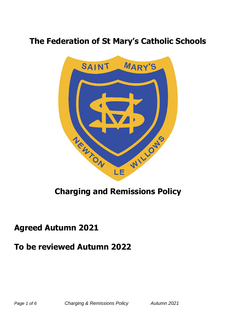# **The Federation of St Mary's Catholic Schools**



# **Charging and Remissions Policy**

## **Agreed Autumn 2021**

## **To be reviewed Autumn 2022**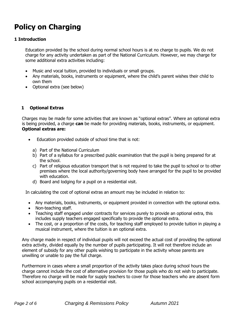# **Policy on Charging**

## **1 Introduction**

Education provided by the school during normal school hours is at no charge to pupils. We do not charge for any activity undertaken as part of the National Curriculum. However, we may charge for some additional extra activities including:

- Music and vocal tuition, provided to individuals or small groups.
- Any materials, books, instruments or equipment, where the child's parent wishes their child to own them
- Optional extra (see below)

## **1 Optional Extras**

Charges may be made for some activities that are known as "optional extras". Where an optional extra is being provided, a charge **can** be made for providing materials, books, instruments, or equipment. **Optional extras are:**

- Education provided outside of school time that is not:
	- a) Part of the National Curriculum
	- b) Part of a syllabus for a prescribed public examination that the pupil is being prepared for at the school.
	- c) Part of religious education transport that is not required to take the pupil to school or to other premises where the local authority/governing body have arranged for the pupil to be provided with education.
	- d) Board and lodging for a pupil on a residential visit.

In calculating the cost of optional extras an amount may be included in relation to:

- Any materials, books, instruments, or equipment provided in connection with the optional extra.
- Non-teaching staff.
- Teaching staff engaged under contracts for services purely to provide an optional extra, this includes supply teachers engaged specifically to provide the optional extra.
- The cost, or a proportion of the costs, for teaching staff employed to provide tuition in playing a musical instrument, where the tuition is an optional extra.

Any charge made in respect of individual pupils will not exceed the actual cost of providing the optional extra activity, divided equally by the number of pupils participating. It will not therefore include an element of subsidy for any other pupils wishing to participate in the activity whose parents are unwilling or unable to pay the full charge.

Furthermore in cases where a small proportion of the activity takes place during school hours the charge cannot include the cost of alternative provision for those pupils who do not wish to participate. Therefore no charge will be made for supply teachers to cover for those teachers who are absent form school accompanying pupils on a residential visit.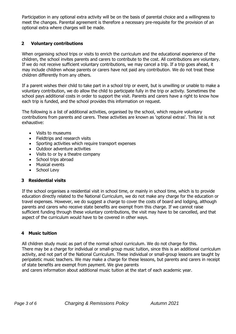Participation in any optional extra activity will be on the basis of parental choice and a willingness to meet the changes. Parental agreement is therefore a necessary pre-requisite for the provision of an optional extra where charges will be made.

## **2 Voluntary contributions**

When organising school trips or visits to enrich the curriculum and the educational experience of the children, the school invites parents and carers to contribute to the cost. All contributions are voluntary. If we do not receive sufficient voluntary contributions, we may cancel a trip. If a trip goes ahead, it may include children whose parents or carers have not paid any contribution. We do not treat these children differently from any others.

If a parent wishes their child to take part in a school trip or event, but is unwilling or unable to make a voluntary contribution, we do allow the child to participate fully in the trip or activity. Sometimes the school pays additional costs in order to support the visit. Parents and carers have a right to know how each trip is funded, and the school provides this information on request.

The following is a list of additional activities, organised by the school, which require voluntary contributions from parents and carers. These activities are known as 'optional extras'. This list is not exhaustive:

- Visits to museums
- Fieldtrips and research visits
- Sporting activities which require transport expenses
- Outdoor adventure activities
- Visits to or by a theatre company
- School trips abroad
- Musical events
- School Levy

### **3 Residential visits**

If the school organises a residential visit in school time, or mainly in school time, which is to provide education directly related to the National Curriculum, we do not make any charge for the education or travel expenses. However, we do suggest a charge to cover the costs of board and lodging, although parents and carers who receive state benefits are exempt from this charge. If we cannot raise sufficient funding through these voluntary contributions, the visit may have to be cancelled, and that aspect of the curriculum would have to be covered in other ways.

#### **4 Music tuition**

All children study music as part of the normal school curriculum. We do not charge for this. There may be a charge for individual or small-group music tuition, since this is an additional curriculum activity, and not part of the National Curriculum. These individual or small-group lessons are taught by peripatetic music teachers. We may make a charge for these lessons, but parents and carers in receipt of state benefits are exempt from payment. We give parents

and carers information about additional music tuition at the start of each academic year.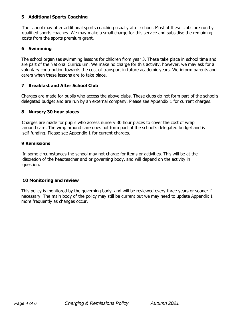### **5 Additional Sports Coaching**

The school may offer additional sports coaching usually after school. Most of these clubs are run by qualified sports coaches. We may make a small charge for this service and subsidise the remaining costs from the sports premium grant.

## **6 Swimming**

The school organises swimming lessons for children from year 3. These take place in school time and are part of the National Curriculum. We make no charge for this activity, however, we may ask for a voluntary contribution towards the cost of transport in future academic years. We inform parents and carers when these lessons are to take place.

## **7 Breakfast and After School Club**

Charges are made for pupils who access the above clubs. These clubs do not form part of the school's delegated budget and are run by an external company. Please see Appendix 1 for current charges.

## **8 Nursery 30 hour places**

Charges are made for pupils who access nursery 30 hour places to cover the cost of wrap around care. The wrap around care does not form part of the school's delegated budget and is self-funding. Please see Appendix 1 for current charges.

### **9 Remissions**

 In some circumstances the school may not charge for items or activities. This will be at the discretion of the headteacher and or governing body, and will depend on the activity in question.

### **10 Monitoring and review**

This policy is monitored by the governing body, and will be reviewed every three years or sooner if necessary. The main body of the policy may still be current but we may need to update Appendix 1 more frequently as changes occur.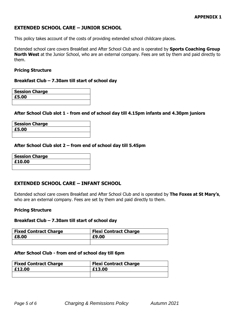## **EXTENDED SCHOOL CARE – JUNIOR SCHOOL**

This policy takes account of the costs of providing extended school childcare places.

Extended school care covers Breakfast and After School Club and is operated by **Sports Coaching Group North West** at the Junior School, who are an external company. Fees are set by them and paid directly to them.

#### **Pricing Structure**

#### **Breakfast Club – 7.30am till start of school day**

| <b>Session Charge</b> |  |
|-----------------------|--|
| £5.00                 |  |
|                       |  |

#### **After School Club slot 1 - from end of school day till 4.15pm infants and 4.30pm juniors**

| <b>Session Charge</b> |  |
|-----------------------|--|
| £5.00                 |  |
|                       |  |

#### **After School Club slot 2 – from end of school day till 5.45pm**

| <b>Session Charge</b> |  |
|-----------------------|--|
| £10.00                |  |
|                       |  |

### **EXTENDED SCHOOL CARE – INFANT SCHOOL**

Extended school care covers Breakfast and After School Club and is operated by **The Foxes at St Mary's**, who are an external company. Fees are set by them and paid directly to them.

#### **Pricing Structure**

#### **Breakfast Club – 7.30am till start of school day**

| <b>Fixed Contract Charge</b> | <b>Flexi Contract Charge</b> |
|------------------------------|------------------------------|
| £8.00                        | £9.00                        |
|                              |                              |

#### **After School Club - from end of school day till 6pm**

| <b>Fixed Contract Charge</b> | <b>Flexi Contract Charge</b> |
|------------------------------|------------------------------|
| E12.00                       | £13.00                       |
|                              |                              |